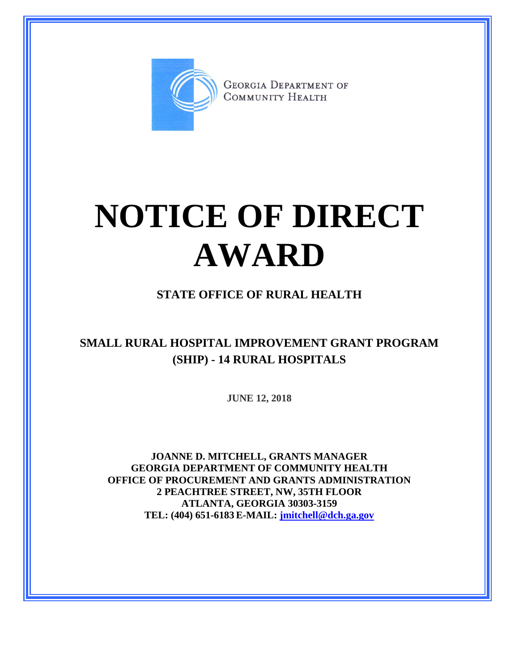

**GEORGIA DEPARTMENT OF** COMMUNITY HEALTH

## **NOTICE OF DIRECT AWARD**

## **STATE OFFICE OF RURAL HEALTH**

## **SMALL RURAL HOSPITAL IMPROVEMENT GRANT PROGRAM (SHIP) - 14 RURAL HOSPITALS**

**JUNE 12, 2018**

**JOANNE D. MITCHELL, GRANTS MANAGER GEORGIA DEPARTMENT OF COMMUNITY HEALTH OFFICE OF PROCUREMENT AND GRANTS ADMINISTRATION 2 PEACHTREE STREET, NW, 35TH FLOOR ATLANTA, GEORGIA 30303-3159 TEL: (404) 651-6183 E-MAIL: [jmitchell@dch.ga.gov](mailto:awatson@dch.ga.gov)**